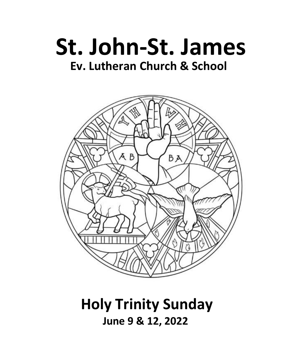



# **Holy Trinity Sunday June 9 & 12, 2022**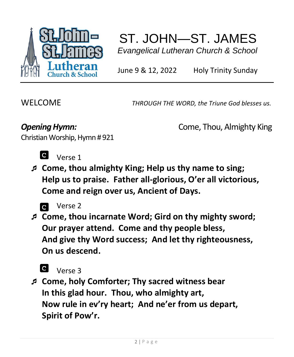

# ST. JOHN—ST. JAMES  *Evangelical Lutheran Church & School*

June 9 & 12, 2022 Holy Trinity Sunday

WELCOME *THROUGH THE WORD, the Triune God blesses us.*

**Opening Hymn: Come, Thou, Almighty King** 

Christian Worship, Hymn # 921



Verse 1

 **Come, thou almighty King; Help us thy name to sing; Help us to praise. Father all-glorious, O'er all victorious, Come and reign over us, Ancient of Days.**



  **Come, thou incarnate Word; Gird on thy mighty sword; Our prayer attend. Come and thy people bless, And give thy Word success; And let thy righteousness, On us descend.**



Verse 3

 **Come, holy Comforter; Thy sacred witness bear In this glad hour. Thou, who almighty art, Now rule in ev'ry heart; And ne'er from us depart, Spirit of Pow'r.**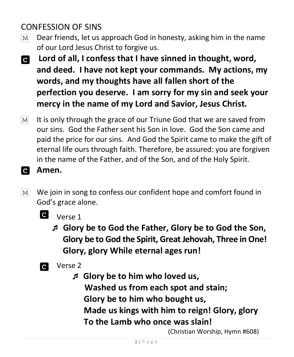# CONFESSION OF SINS

- Dear friends, let us approach God in honesty, asking him in the name  $|M|$ of our Lord Jesus Christ to forgive us.
- **Lord of all, I confess that I have sinned in thought, word, and deed. I have not kept your commands. My actions, my words, and my thoughts have all fallen short of the perfection you deserve. I am sorry for my sin and seek your mercy in the name of my Lord and Savior, Jesus Christ.**
- It is only through the grace of our Triune God that we are saved from  $|M|$ our sins. God the Father sent his Son in love. God the Son came and paid the price for our sins. And God the Spirit came to make the gift of eternal life ours through faith. Therefore, be assured: you are forgiven in the name of the Father, and of the Son, and of the Holy Spirit.
- a **Amen.**
- $[M]$ We join in song to confess our confident hope and comfort found in God's grace alone.



**d** Verse 1

 **Glory be to God the Father, Glory be to God the Son, Glory be to God the Spirit, Great Jehovah, Three in One! Glory, glory While eternal ages run!**

- **Q** Verse 2
	- **Glory be to him who loved us, Washed us from each spot and stain; Glory be to him who bought us, Made us kings with him to reign! Glory, glory To the Lamb who once was slain!**

(Christian Worship, Hymn #608)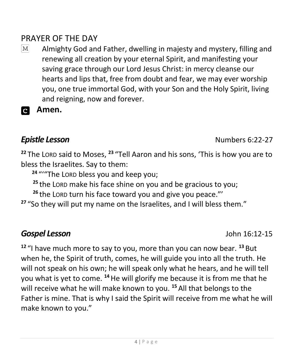# PRAYER OF THE DAY

- $|M|$ Almighty God and Father, dwelling in majesty and mystery, filling and renewing all creation by your eternal Spirit, and manifesting your saving grace through our Lord Jesus Christ: in mercy cleanse our hearts and lips that, free from doubt and fear, we may ever worship you, one true immortal God, with your Son and the Holy Spirit, living and reigning, now and forever.
- **Amen.**  $\mathbf{C}$

**<sup>22</sup>** The LORD said to Moses, **<sup>23</sup>** "Tell Aaron and his sons, 'This is how you are to bless the Israelites. Say to them:

**<sup>24</sup>** "'"The LORD bless you and keep you;

**<sup>25</sup>** the LORD make his face shine on you and be gracious to you;

**<sup>26</sup>** the LORD turn his face toward you and give you peace."'

**<sup>27</sup>** "So they will put my name on the Israelites, and I will bless them."

## *Gospel Lesson* John 16:12-15

**<sup>12</sup>** "I have much more to say to you, more than you can now bear. **<sup>13</sup>** But when he, the Spirit of truth, comes, he will guide you into all the truth. He will not speak on his own; he will speak only what he hears, and he will tell you what is yet to come. **<sup>14</sup>**He will glorify me because it is from me that he will receive what he will make known to you. **<sup>15</sup>** All that belongs to the Father is mine. That is why I said the Spirit will receive from me what he will make known to you."

**Epistle Lesson Numbers 6:22-27**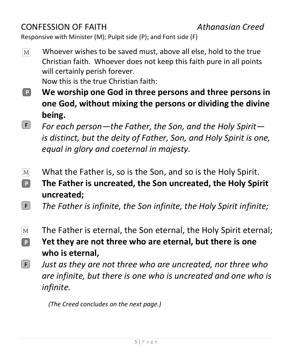# CONFESSION OF FAITH *Athanasian Creed*

Responsive with Minister (M); Pulpit side (P); and Font side (F)

Whoever wishes to be saved must, above all else, hold to the true  $[M]$ Christian faith. Whoever does not keep this faith pure in all points will certainly perish forever.

Now this is the true Christian faith:

- $\lceil \mathsf{P} \rceil$ **We worship one God in three persons and three persons in one God, without mixing the persons or dividing the divine being.**
- $\lceil \mathsf{F} \rceil$ *For each person—the Father, the Son, and the Holy Spirit is distinct, but the deity of Father, Son, and Holy Spirit is one, equal in glory and coeternal in majesty.*
- $[M]$ What the Father is, so is the Son, and so is the Holy Spirit.  $\boxed{P}$ **The Father is uncreated, the Son uncreated, the Holy Spirit uncreated;**
- $\lceil$  F  $\rceil$ *The Father is infinite, the Son infinite, the Holy Spirit infinite;*
- The Father is eternal, the Son eternal, the Holy Spirit eternal;  $\lceil \text{M} \rceil$
- **Yet they are not three who are eternal, but there is one**   $\boxed{P}$ **who is eternal,**
- $[$  F  $]$ *Just as they are not three who are uncreated, nor three who are infinite, but there is one who is uncreated and one who is infinite.*

 *(The Creed concludes on the next page.)*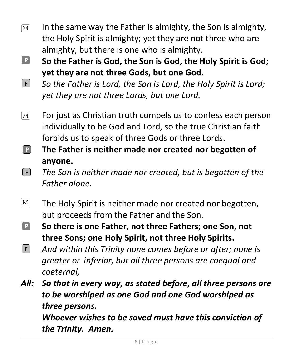- In the same way the Father is almighty, the Son is almighty,  $\lceil \text{M} \rceil$ the Holy Spirit is almighty; yet they are not three who are almighty, but there is one who is almighty.
- $\boxed{\mathsf{P}}$ **So the Father is God, the Son is God, the Holy Spirit is God; yet they are not three Gods, but one God.**
- $\lceil \mathsf{F} \rceil$ *So the Father is Lord, the Son is Lord, the Holy Spirit is Lord; yet they are not three Lords, but one Lord.*
- For just as Christian truth compels us to confess each person  $\lceil \text{M} \rceil$ individually to be God and Lord, so the true Christian faith forbids us to speak of three Gods or three Lords.
- **The Father is neither made nor created nor begotten of**   $\boxed{\mathsf{P}}$ **anyone.**
- $\boxed{F}$ *The Son is neither made nor created, but is begotten of the Father alone.*
- $\lceil \text{M} \rceil$ The Holy Spirit is neither made nor created nor begotten, but proceeds from the Father and the Son.
- $\boxed{\mathsf{P}}$ **So there is one Father, not three Fathers; one Son, not three Sons; one Holy Spirit, not three Holy Spirits.**
- $[F]$ *And within this Trinity none comes before or after; none is greater or inferior, but all three persons are coequal and coeternal,*

*All: So that in every way, as stated before, all three persons are to be worshiped as one God and one God worshiped as three persons.*

*Whoever wishes to be saved must have this conviction of the Trinity. Amen.*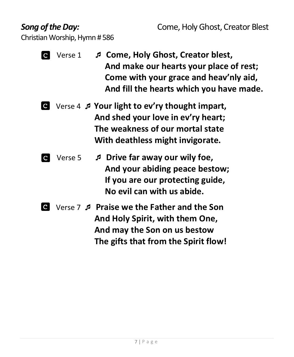Christian Worship, Hymn # 586

- Verse 1 **Come, Holy Ghost, Creator blest, And make our hearts your place of rest; Come with your grace and heav'nly aid, And fill the hearts which you have made.**
- Verse 4 **Your light to ev'ry thought impart, And shed your love in ev'ry heart; The weakness of our mortal state With deathless might invigorate.**
- 
- Verse 5 **Drive far away our wily foe, And your abiding peace bestow; If you are our protecting guide, No evil can with us abide.**
- Verse 7 **Praise we the Father and the Son And Holy Spirit, with them One, And may the Son on us bestow The gifts that from the Spirit flow!**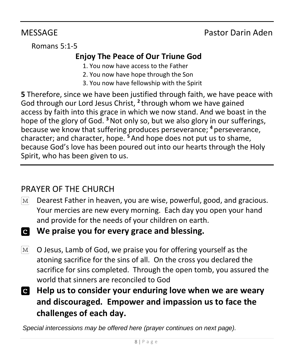# MESSAGE Pastor Darin Aden

Romans 5:1-5

# **Enjoy The Peace of Our Triune God**

- 1. You now have access to the Father
- 2. You now have hope through the Son
- 3. You now have fellowship with the Spirit

**5** Therefore, since we have been justified through faith, we have peace with God through our Lord Jesus Christ, **<sup>2</sup>** through whom we have gained access by faith into this grace in which we now stand. And we boast in the hope of the glory of God. **<sup>3</sup>**Not only so, but we also glory in our sufferings, because we know that suffering produces perseverance; **<sup>4</sup>** perseverance, character; and character, hope. **<sup>5</sup>** And hope does not put us to shame, because God's love has been poured out into our hearts through the Holy Spirit, who has been given to us.

# PRAYER OF THE CHURCH

- Dearest Father in heaven, you are wise, powerful, good, and gracious.  $\lceil \text{M} \rceil$ Your mercies are new every morning. Each day you open your hand and provide for the needs of your children on earth.
- **We praise you for every grace and blessing.**
- O Jesus, Lamb of God, we praise you for offering yourself as the  $|M|$ atoning sacrifice for the sins of all. On the cross you declared the sacrifice for sins completed. Through the open tomb, you assured the world that sinners are reconciled to God
- **Help us to consider your enduring love when we are weary and discouraged. Empower and impassion us to face the challenges of each day.**

*Special intercessions may be offered here (prayer continues on next page).*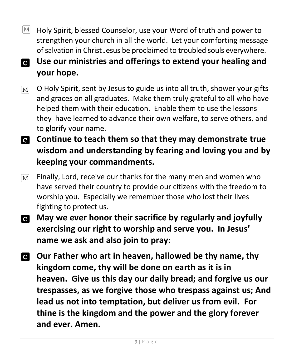- $|M|$ Holy Spirit, blessed Counselor, use your Word of truth and power to strengthen your church in all the world. Let your comforting message of salvation in Christ Jesus be proclaimed to troubled souls everywhere.
- **Use our ministries and offerings to extend your healing and**   $\overline{c}$ **your hope.**
- O Holy Spirit, sent by Jesus to guide us into all truth, shower your gifts  $\lceil \mathbf{M} \rceil$ and graces on all graduates. Make them truly grateful to all who have helped them with their education. Enable them to use the lessons they have learned to advance their own welfare, to serve others, and to glorify your name.
- **Continue to teach them so that they may demonstrate true wisdom and understanding by fearing and loving you and by keeping your commandments.**
- Finally, Lord, receive our thanks for the many men and women who  $M<sup>2</sup>$ have served their country to provide our citizens with the freedom to worship you. Especially we remember those who lost their lives fighting to protect us.
- **May we ever honor their sacrifice by regularly and joyfully exercising our right to worship and serve you. In Jesus' name we ask and also join to pray:**
- **Our Father who art in heaven, hallowed be thy name, thy kingdom come, thy will be done on earth as it is in heaven. Give us this day our daily bread; and forgive us our trespasses, as we forgive those who trespass against us; And lead us not into temptation, but deliver us from evil. For thine is the kingdom and the power and the glory forever and ever. Amen.**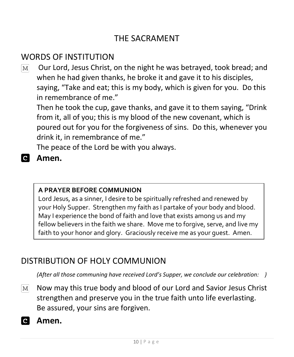# THE SACRAMENT

# WORDS OF INSTITUTION

Our Lord, Jesus Christ, on the night he was betrayed, took bread; and  $M<sub>l</sub>$ when he had given thanks, he broke it and gave it to his disciples, saying, "Take and eat; this is my body, which is given for you. Do this in remembrance of me."

Then he took the cup, gave thanks, and gave it to them saying, "Drink from it, all of you; this is my blood of the new covenant, which is poured out for you for the forgiveness of sins. Do this, whenever you drink it, in remembrance of me."

The peace of the Lord be with you always.

### **Amen.**

#### **A PRAYER BEFORE COMMUNION**

Lord Jesus, as a sinner, I desire to be spiritually refreshed and renewed by your Holy Supper. Strengthen my faith as I partake of your body and blood. May I experience the bond of faith and love that exists among us and my fellow believers in the faith we share. Move me to forgive, serve, and live my faith to your honor and glory. Graciously receive me as your guest. Amen.

## DISTRIBUTION OF HOLY COMMUNION

*(After all those communing have received Lord's Supper, we conclude our celebration: )*

- Now may this true body and blood of our Lord and Savior Jesus Christ  $M$ strengthen and preserve you in the true faith unto life everlasting. Be assured, your sins are forgiven.
- **Amen.**  $\mathbf{C}$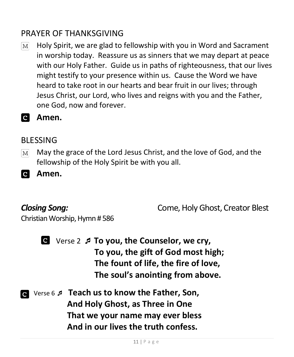# PRAYER OF THANKSGIVING

- Holy Spirit, we are glad to fellowship with you in Word and Sacrament  $\mathbf{M}$ in worship today. Reassure us as sinners that we may depart at peace with our Holy Father. Guide us in paths of righteousness, that our lives might testify to your presence within us. Cause the Word we have heard to take root in our hearts and bear fruit in our lives; through Jesus Christ, our Lord, who lives and reigns with you and the Father, one God, now and forever.
- **Amen.**

#### BLESSING

May the grace of the Lord Jesus Christ, and the love of God, and the  $\boxed{\text{M}}$ fellowship of the Holy Spirit be with you all.

**Amen.** 

**Closing Song:** Come, Holy Ghost, Creator Blest

Christian Worship, Hymn # 586



 Verse 2 **To you, the Counselor, we cry, To you, the gift of God most high; The fount of life, the fire of love, The soul's anointing from above.**

 Verse 6  **Teach us to know the Father, Son, And Holy Ghost, as Three in One That we your name may ever bless And in our lives the truth confess.**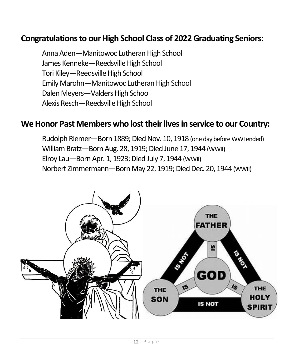## **Congratulations to our High School Class of 2022Graduating Seniors:**

Anna Aden—Manitowoc Lutheran High School James Kenneke—Reedsville High School Tori Kiley—Reedsville High School Emily Marohn—Manitowoc Lutheran High School Dalen Meyers—Valders High School Alexis Resch—Reedsville High School

#### **We Honor Past Members who lost their lives in service to our Country:**

Rudolph Riemer—Born 1889; Died Nov. 10, 1918 (one day before WWI ended) William Bratz—Born Aug. 28, 1919; Died June 17, 1944 (WWII) Elroy Lau—Born Apr. 1, 1923; Died July 7, 1944 (WWII) Norbert Zimmermann—Born May 22, 1919; Died Dec. 20, 1944 (WWII)

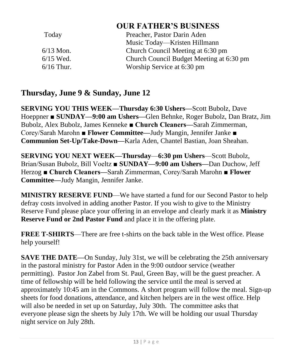### **OUR FATHER'S BUSINESS**

| Today        | Preacher, Pastor Darin Aden              |
|--------------|------------------------------------------|
|              | Music Today—Kristen Hillmann             |
| $6/13$ Mon.  | Church Council Meeting at 6:30 pm        |
| $6/15$ Wed.  | Church Council Budget Meeting at 6:30 pm |
| $6/16$ Thur. | Worship Service at 6:30 pm               |

### **Thursday, June 9 & Sunday, June 12**

**SERVING YOU THIS WEEK—Thursday 6:30 Ushers—**Scott Bubolz, Dave Hoeppner ■ **SUNDAY—9:00 am Ushers—**Glen Behnke, Roger Bubolz, Dan Bratz, Jim Bubolz, Alex Bubolz, James Kenneke **■ Church Cleaners—**Sarah Zimmerman, Corey/Sarah Marohn ■ **Flower Committee—**Judy Mangin, Jennifer Janke **■ Communion Set-Up/Take-Down—**Karla Aden, Chantel Bastian, Joan Sheahan.

**SERVING YOU NEXT WEEK—Thursday**—**6:30 pm Ushers**—Scott Bubolz, Brian/Susan Bubolz, Bill Voeltz ■ **SUNDAY—9:00 am Ushers—**Dan Duchow, Jeff Herzog **■ Church Cleaners—**Sarah Zimmerman, Corey/Sarah Marohn ■ **Flower Committee—**Judy Mangin, Jennifer Janke.

**MINISTRY RESERVE FUND**—We have started a fund for our Second Pastor to help defray costs involved in adding another Pastor. If you wish to give to the Ministry Reserve Fund please place your offering in an envelope and clearly mark it as **Ministry Reserve Fund or 2nd Pastor Fund** and place it in the offering plate.

**FREE T-SHIRTS**—There are free t-shirts on the back table in the West office. Please help yourself!

**SAVE THE DATE—On Sunday, July 31st, we will be celebrating the 25th anniversary** in the pastoral ministry for Pastor Aden in the 9:00 outdoor service (weather permitting). Pastor Jon Zabel from St. Paul, Green Bay, will be the guest preacher. A time of fellowship will be held following the service until the meal is served at approximately 10:45 am in the Commons. A short program will follow the meal. Sign-up sheets for food donations, attendance, and kitchen helpers are in the west office. Help will also be needed in set up on Saturday, July 30th. The committee asks that everyone please sign the sheets by July 17th. We will be holding our usual Thursday night service on July 28th.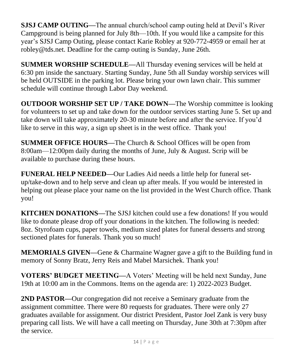**SJSJ CAMP OUTING—**The annual church/school camp outing held at Devil's River Campground is being planned for July 8th—10th. If you would like a campsite for this year's SJSJ Camp Outing, please contact Karie Robley at 920-772-4959 or email her at robley@tds.net. Deadline for the camp outing is Sunday, June 26th.

**SUMMER WORSHIP SCHEDULE—**All Thursday evening services will be held at 6:30 pm inside the sanctuary. Starting Sunday, June 5th all Sunday worship services will be held OUTSIDE in the parking lot. Please bring your own lawn chair. This summer schedule will continue through Labor Day weekend.

**OUTDOOR WORSHIP SET UP / TAKE DOWN—**The Worship committee is looking for volunteers to set up and take down for the outdoor services starting June 5. Set up and take down will take approximately 20-30 minute before and after the service. If you'd like to serve in this way, a sign up sheet is in the west office. Thank you!

**SUMMER OFFICE HOURS—**The Church & School Offices will be open from 8:00am—12:00pm daily during the months of June, July & August. Scrip will be available to purchase during these hours.

**FUNERAL HELP NEEDED—**Our Ladies Aid needs a little help for funeral setup/take-down and to help serve and clean up after meals. If you would be interested in helping out please place your name on the list provided in the West Church office. Thank you!

**KITCHEN DONATIONS—**The SJSJ kitchen could use a few donations! If you would like to donate please drop off your donations in the kitchen. The following is needed: 8oz. Styrofoam cups, paper towels, medium sized plates for funeral desserts and strong sectioned plates for funerals. Thank you so much!

**MEMORIALS GIVEN—**Gene & Charmaine Wagner gave a gift to the Building fund in memory of Sonny Bratz, Jerry Reis and Mabel Marsichek. Thank you!

**VOTERS' BUDGET MEETING—**A Voters' Meeting will be held next Sunday, June 19th at 10:00 am in the Commons. Items on the agenda are: 1) 2022-2023 Budget.

**2ND PASTOR—**Our congregation did not receive a Seminary graduate from the assignment committee. There were 80 requests for graduates. There were only 27 graduates available for assignment. Our district President, Pastor Joel Zank is very busy preparing call lists. We will have a call meeting on Thursday, June 30th at 7:30pm after the service.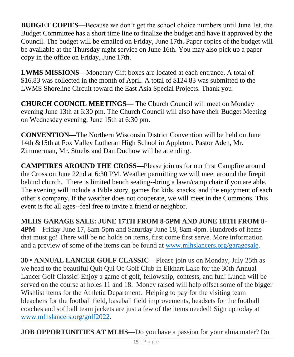**BUDGET COPIES—**Because we don't get the school choice numbers until June 1st, the Budget Committee has a short time line to finalize the budget and have it approved by the Council. The budget will be emailed on Friday, June 17th. Paper copies of the budget will be available at the Thursday night service on June 16th. You may also pick up a paper copy in the office on Friday, June 17th.

**LWMS MISSIONS—**Monetary Gift boxes are located at each entrance. A total of \$16.83 was collected in the month of April. A total of \$124.83 was submitted to the LWMS Shoreline Circuit toward the East Asia Special Projects. Thank you!

**CHURCH COUNCIL MEETINGS—** The Church Council will meet on Monday evening June 13th at 6:30 pm. The Church Council will also have their Budget Meeting on Wednesday evening, June 15th at 6:30 pm.

**CONVENTION—**The Northern Wisconsin District Convention will be held on June 14th &15th at Fox Valley Lutheran High School in Appleton. Pastor Aden, Mr. Zimmerman, Mr. Stuebs and Dan Duchow will be attending.

**CAMPFIRES AROUND THE CROSS—**Please join us for our first Campfire around the Cross on June 22nd at 6:30 PM. Weather permitting we will meet around the firepit behind church. There is limited bench seating--bring a lawn/camp chair if you are able. The evening will include a Bible story, games for kids, snacks, and the enjoyment of each other's company. If the weather does not cooperate, we will meet in the Commons. This event is for all ages--feel free to invite a friend or neighbor.

**MLHS GARAGE SALE: JUNE 17TH FROM 8-5PM AND JUNE 18TH FROM 8- 4PM**—Friday June 17, 8am-5pm and Saturday June 18, 8am-4pm. Hundreds of items that must go! There will be no holds on items, first come first serve. More information and a preview of some of the items can be found at [www.mlhslancers.org/garagesale.](http://www.mlhslancers.org/garagesale)

**30TH ANNUAL LANCER GOLF CLASSIC**—Please join us on Monday, July 25th as we head to the beautiful Quit Qui Oc Golf Club in Elkhart Lake for the 30th Annual Lancer Golf Classic! Enjoy a game of golf, fellowship, contests, and fun! Lunch will be served on the course at holes 11 and 18. Money raised will help offset some of the bigger Wishlist items for the Athletic Department. Helping to pay for the visiting team bleachers for the football field, baseball field improvements, headsets for the football coaches and softball team jackets are just a few of the items needed! Sign up today at [www.mlhslancers.org/golf2022.](http://www.mlhslancers.org/golf2022)

**JOB OPPORTUNITIES AT MLHS—**Do you have a passion for your alma mater? Do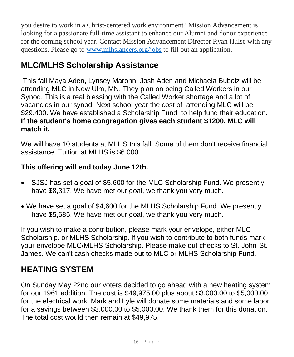you desire to work in a Christ-centered work environment? Mission Advancement is looking for a passionate full-time assistant to enhance our Alumni and donor experience for the coming school year. Contact Mission Advancement Director Ryan Hulse with any questions. Please go to [www.mlhslancers.org/jobs](https://default.salsalabs.org/Tcd8139a2-7e6b-4c02-a127-d3b46b05c242/a3c88c01-0479-4656-9284-9624ba4e09d4) to fill out an application.

# **MLC/MLHS Scholarship Assistance**

This fall Maya Aden, Lynsey Marohn, Josh Aden and Michaela Bubolz will be attending MLC in New Ulm, MN. They plan on being Called Workers in our Synod. This is a real blessing with the Called Worker shortage and a lot of vacancies in our synod. Next school year the cost of attending MLC will be \$29,400. We have established a Scholarship Fund to help fund their education. **If the student's home congregation gives each student \$1200, MLC will match it.** 

We will have 10 students at MLHS this fall. Some of them don't receive financial assistance. Tuition at MLHS is \$6,000.

#### **This offering will end today June 12th.**

- SJSJ has set a goal of \$5,600 for the MLC Scholarship Fund. We presently have \$8,317. We have met our goal, we thank you very much.
- We have set a goal of \$4,600 for the MLHS Scholarship Fund. We presently have \$5,685. We have met our goal, we thank you very much.

If you wish to make a contribution, please mark your envelope, either MLC Scholarship. or MLHS Scholarship. If you wish to contribute to both funds mark your envelope MLC/MLHS Scholarship. Please make out checks to St. John-St. James. We can't cash checks made out to MLC or MLHS Scholarship Fund.

# **HEATING SYSTEM**

On Sunday May 22nd our voters decided to go ahead with a new heating system for our 1961 addition. The cost is \$49,975.00 plus about \$3,000.00 to \$5,000.00 for the electrical work. Mark and Lyle will donate some materials and some labor for a savings between \$3,000.00 to \$5,000.00. We thank them for this donation. The total cost would then remain at \$49,975.